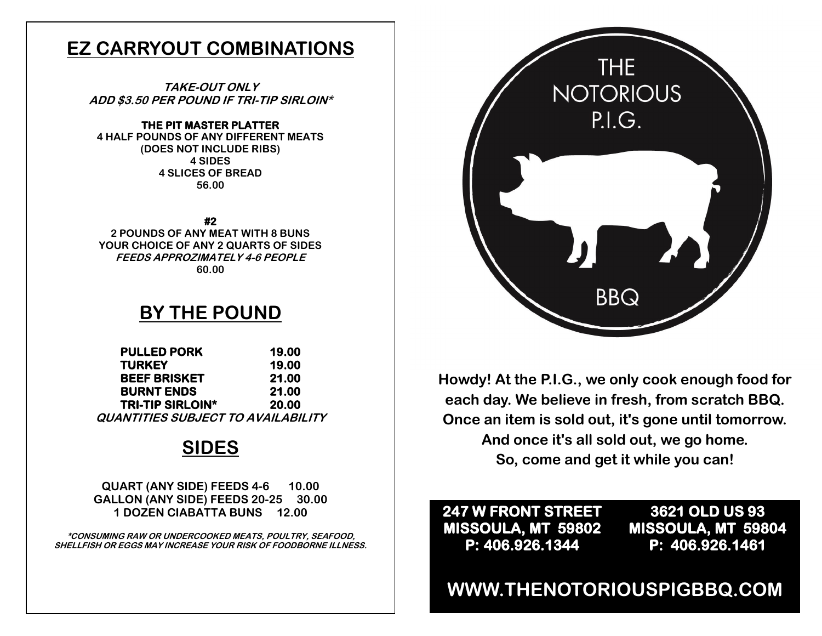## **EZ CARRYOUT COMBINATIONS**

**TAKE-OUT ONLY ADD \$3.50 PER POUND IF TRI-TIP SIRLOIN\*** 

#### **THE PIT MASTER PLATTER**

**4 HALF POUNDS OF ANY DIFFERENT MEATS (DOES NOT INCLUDE RIBS) 4 SIDES 4 SLICES OF BREAD 56.00**

**#2** 

**2 POUNDS OF ANY MEAT WITH 8 BUNS YOUR CHOICE OF ANY 2 QUARTS OF SIDES FEEDS APPROZIMATELY 4-6 PEOPLE 60.00**

### **BY THE POUND**

| <b>PULLED PORK</b>                 | 19.00 |
|------------------------------------|-------|
| <b>TURKEY</b>                      | 19.00 |
| <b>BEEF BRISKET</b>                | 21.00 |
| <b>BURNT ENDS</b>                  | 21.00 |
| <b>TRI-TIP SIRLOIN*</b>            | 20.00 |
| QUANTITIES SUBJECT TO AVAILABILITY |       |

## **SIDES**

**QUART (ANY SIDE) FEEDS 4-6 10.00 GALLON (ANY SIDE) FEEDS 20-25 30.00 1 DOZEN CIABATTA BUNS 12.00**

**\*CONSUMING RAW OR UNDERCOOKED MEATS, POULTRY, SEAFOOD, SHELLFISH OR EGGS MAY INCREASE YOUR RISK OF FOODBORNE ILLNESS.**



**Howdy! At the P.I.G., we only cook enough food for each day. We believe in fresh, from scratch BBQ. Once an item is sold out, it's gone until tomorrow. And once it's all sold out, we go home. So, come and get it while you can!**

### **247 W FRONT STREET MISSOULA, MT 59802 P: 406.926.1344**

**3621 OLD US 93 MISSOULA, MT 59804 P: 406.926.1461** 

### **WWW.THENOTORIOUSPIGBBQ.COM**